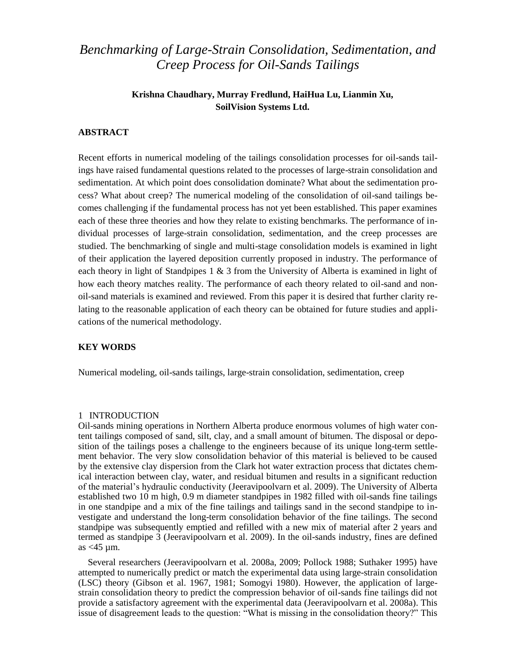# *Benchmarking of Large-Strain Consolidation, Sedimentation, and Creep Process for Oil-Sands Tailings*

## **Krishna Chaudhary, Murray Fredlund, HaiHua Lu, Lianmin Xu, SoilVision Systems Ltd.**

## **ABSTRACT**

Recent efforts in numerical modeling of the tailings consolidation processes for oil-sands tailings have raised fundamental questions related to the processes of large-strain consolidation and sedimentation. At which point does consolidation dominate? What about the sedimentation process? What about creep? The numerical modeling of the consolidation of oil-sand tailings becomes challenging if the fundamental process has not yet been established. This paper examines each of these three theories and how they relate to existing benchmarks. The performance of individual processes of large-strain consolidation, sedimentation, and the creep processes are studied. The benchmarking of single and multi-stage consolidation models is examined in light of their application the layered deposition currently proposed in industry. The performance of each theory in light of Standpipes 1  $\&$  3 from the University of Alberta is examined in light of how each theory matches reality. The performance of each theory related to oil-sand and nonoil-sand materials is examined and reviewed. From this paper it is desired that further clarity relating to the reasonable application of each theory can be obtained for future studies and applications of the numerical methodology.

## **KEY WORDS**

Numerical modeling, oil-sands tailings, large-strain consolidation, sedimentation, creep

#### 1 INTRODUCTION

Oil-sands mining operations in Northern Alberta produce enormous volumes of high water content tailings composed of sand, silt, clay, and a small amount of bitumen. The disposal or deposition of the tailings poses a challenge to the engineers because of its unique long-term settlement behavior. The very slow consolidation behavior of this material is believed to be caused by the extensive clay dispersion from the Clark hot water extraction process that dictates chemical interaction between clay, water, and residual bitumen and results in a significant reduction of the material's hydraulic conductivity (Jeeravipoolvarn et al. 2009). The University of Alberta established two 10 m high, 0.9 m diameter standpipes in 1982 filled with oil-sands fine tailings in one standpipe and a mix of the fine tailings and tailings sand in the second standpipe to investigate and understand the long-term consolidation behavior of the fine tailings. The second standpipe was subsequently emptied and refilled with a new mix of material after 2 years and termed as standpipe 3 (Jeeravipoolvarn et al. 2009). In the oil-sands industry, fines are defined as  $<$ 45 µm.

Several researchers (Jeeravipoolvarn et al. 2008a, 2009; Pollock 1988; Suthaker 1995) have attempted to numerically predict or match the experimental data using large-strain consolidation (LSC) theory (Gibson et al. 1967, 1981; Somogyi 1980). However, the application of largestrain consolidation theory to predict the compression behavior of oil-sands fine tailings did not provide a satisfactory agreement with the experimental data (Jeeravipoolvarn et al. 2008a). This issue of disagreement leads to the question: "What is missing in the consolidation theory?" This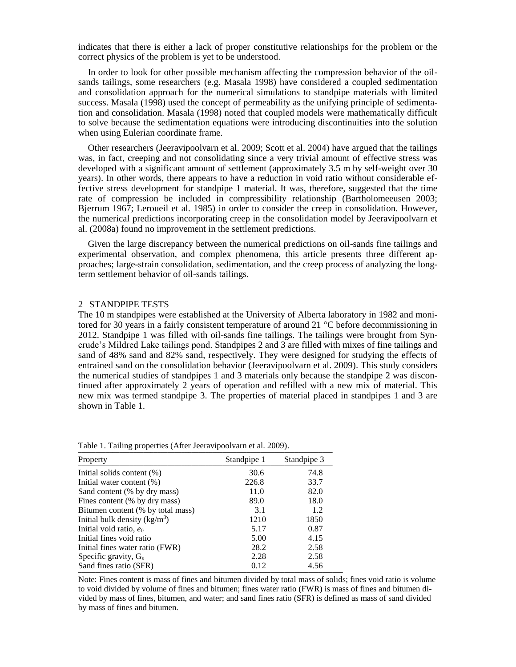indicates that there is either a lack of proper constitutive relationships for the problem or the correct physics of the problem is yet to be understood.

In order to look for other possible mechanism affecting the compression behavior of the oilsands tailings, some researchers (e.g. Masala 1998) have considered a coupled sedimentation and consolidation approach for the numerical simulations to standpipe materials with limited success. Masala (1998) used the concept of permeability as the unifying principle of sedimentation and consolidation. Masala (1998) noted that coupled models were mathematically difficult to solve because the sedimentation equations were introducing discontinuities into the solution when using Eulerian coordinate frame.

Other researchers (Jeeravipoolvarn et al. 2009; Scott et al. 2004) have argued that the tailings was, in fact, creeping and not consolidating since a very trivial amount of effective stress was developed with a significant amount of settlement (approximately 3.5 m by self-weight over 30 years). In other words, there appears to have a reduction in void ratio without considerable effective stress development for standpipe 1 material. It was, therefore, suggested that the time rate of compression be included in compressibility relationship (Bartholomeeusen 2003; Bjerrum 1967; Leroueil et al. 1985) in order to consider the creep in consolidation. However, the numerical predictions incorporating creep in the consolidation model by Jeeravipoolvarn et al. (2008a) found no improvement in the settlement predictions.

Given the large discrepancy between the numerical predictions on oil-sands fine tailings and experimental observation, and complex phenomena, this article presents three different approaches; large-strain consolidation, sedimentation, and the creep process of analyzing the longterm settlement behavior of oil-sands tailings.

#### 2 STANDPIPE TESTS

The 10 m standpipes were established at the University of Alberta laboratory in 1982 and monitored for 30 years in a fairly consistent temperature of around 21  $\degree$ C before decommissioning in 2012. Standpipe 1 was filled with oil-sands fine tailings. The tailings were brought from Syncrude's Mildred Lake tailings pond. Standpipes 2 and 3 are filled with mixes of fine tailings and sand of 48% sand and 82% sand, respectively. They were designed for studying the effects of entrained sand on the consolidation behavior (Jeeravipoolvarn et al. 2009). This study considers the numerical studies of standpipes 1 and 3 materials only because the standpipe 2 was discontinued after approximately 2 years of operation and refilled with a new mix of material. This new mix was termed standpipe 3. The properties of material placed in standpipes 1 and 3 are shown in [Table 1.](#page-1-0)

| Property                           | Standpipe 1 | Standpipe 3 |
|------------------------------------|-------------|-------------|
| Initial solids content $(\%)$      | 30.6        | 74.8        |
| Initial water content $(\%)$       | 226.8       | 33.7        |
| Sand content (% by dry mass)       | 11.0        | 82.0        |
| Fines content (% by dry mass)      | 89.0        | 18.0        |
| Bitumen content (% by total mass)  | 3.1         | 1.2         |
| Initial bulk density $(kg/m^3)$    | 1210        | 1850        |
| Initial void ratio, e <sub>0</sub> | 5.17        | 0.87        |
| Initial fines void ratio           | 5.00        | 4.15        |
| Initial fines water ratio (FWR)    | 28.2        | 2.58        |
| Specific gravity, $G_s$            | 2.28        | 2.58        |
| Sand fines ratio (SFR)             | 0.12        | 4.56        |

<span id="page-1-0"></span>Table 1. Tailing properties (After Jeeravipoolvarn et al. 2009).

Note: Fines content is mass of fines and bitumen divided by total mass of solids; fines void ratio is volume to void divided by volume of fines and bitumen; fines water ratio (FWR) is mass of fines and bitumen divided by mass of fines, bitumen, and water; and sand fines ratio (SFR) is defined as mass of sand divided by mass of fines and bitumen.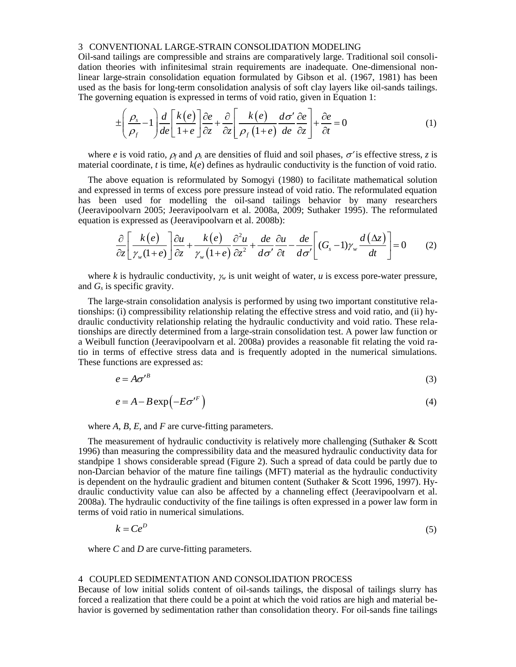#### <span id="page-2-0"></span>3 CONVENTIONAL LARGE-STRAIN CONSOLIDATION MODELING

Oil-sand tailings are compressible and strains are comparatively large. Traditional soil consolidation theories with infinitesimal strain requirements are inadequate. One-dimensional nonlinear large-strain consolidation equation formulated by Gibson et al. (1967, 1981) has been used as the basis for long-term consolidation analysis of soft clay layers like oil-sands tailings.

used as the basis for long-term consolidation analysis of soft clay layers like oil-sands tailings.  
The governing equation is expressed in terms of void ratio, given in Equation 1:  

$$
\pm \left(\frac{\rho_s}{\rho_f} - 1\right) \frac{d}{de} \left[\frac{k(e)}{1+e}\right] \frac{\partial e}{\partial z} + \frac{\partial}{\partial z} \left[\frac{k(e)}{\rho_f (1+e)} \frac{d\sigma'}{de} \frac{\partial e}{\partial z}\right] + \frac{\partial e}{\partial t} = 0
$$
(1)

where *e* is void ratio,  $\rho_f$  and  $\rho_s$  are densities of fluid and soil phases,  $\sigma'$  is effective stress, *z* is material coordinate,  $t$  is time,  $k(e)$  defines as hydraulic conductivity is the function of void ratio.

The above equation is reformulated by Somogyi (1980) to facilitate mathematical solution and expressed in terms of excess pore pressure instead of void ratio. The reformulated equation has been used for modelling the oil-sand tailings behavior by many researchers The United Constraining the on-sand tantings behavior by many researchers (Jeeravipoolvarn 2005; Jeeravipoolvarn et al. 2008a, 2009; Suthaker 1995). The reformulated equation is expressed as (Jeeravipoolvarn et al. 2008b)

(Jeeravipoolvarn 2005; Jeeravipoolvarn et al. 2008a, 2009; Suthaker 1995). The reformulated equation is expressed as (Jeeravipoolvarn et al. 2008b):  
\n
$$
\frac{\partial}{\partial z} \left[ \frac{k(e)}{\gamma_w (1+e)} \right] \frac{\partial u}{\partial z} + \frac{k(e)}{\gamma_w (1+e)} \frac{\partial^2 u}{\partial z^2} + \frac{de}{d\sigma'} \frac{\partial u}{\partial t} - \frac{de}{d\sigma'} \left[ (G_s - 1) \gamma_w \frac{d(\Delta z)}{dt} \right] = 0
$$
\n(2)

where *k* is hydraulic conductivity,  $\chi_v$  is unit weight of water, *u* is excess pore-water pressure, and *G<sup>s</sup>* is specific gravity.

The large-strain consolidation analysis is performed by using two important constitutive relationships: (i) compressibility relationship relating the effective stress and void ratio, and (ii) hydraulic conductivity relationship relating the hydraulic conductivity and void ratio. These relationships are directly determined from a large-strain consolidation test. A power law function or a Weibull function (Jeeravipoolvarn et al. 2008a) provides a reasonable fit relating the void ratio in terms of effective stress data and is frequently adopted in the numerical simulations. These functions are expressed as:

$$
e = A \sigma^{\prime B} \tag{3}
$$

$$
e = A - B \exp(-E\sigma'^{F})
$$
\n(4)

where *A*, *B*, *E*, and *F* are curve-fitting parameters.

The measurement of hydraulic conductivity is relatively more challenging (Suthaker & Scott 1996) than measuring the compressibility data and the measured hydraulic conductivity data for standpipe 1 shows considerable spread [\(Figure 2\)](#page-8-0). Such a spread of data could be partly due to non-Darcian behavior of the mature fine tailings (MFT) material as the hydraulic conductivity is dependent on the hydraulic gradient and bitumen content (Suthaker & Scott 1996, 1997). Hydraulic conductivity value can also be affected by a channeling effect (Jeeravipoolvarn et al. 2008a). The hydraulic conductivity of the fine tailings is often expressed in a power law form in terms of void ratio in numerical simulations.

$$
k = Ce^D \tag{5}
$$

where *C* and *D* are curve-fitting parameters.

## 4 COUPLED SEDIMENTATION AND CONSOLIDATION PROCESS

Because of low initial solids content of oil-sands tailings, the disposal of tailings slurry has forced a realization that there could be a point at which the void ratios are high and material behavior is governed by sedimentation rather than consolidation theory. For oil-sands fine tailings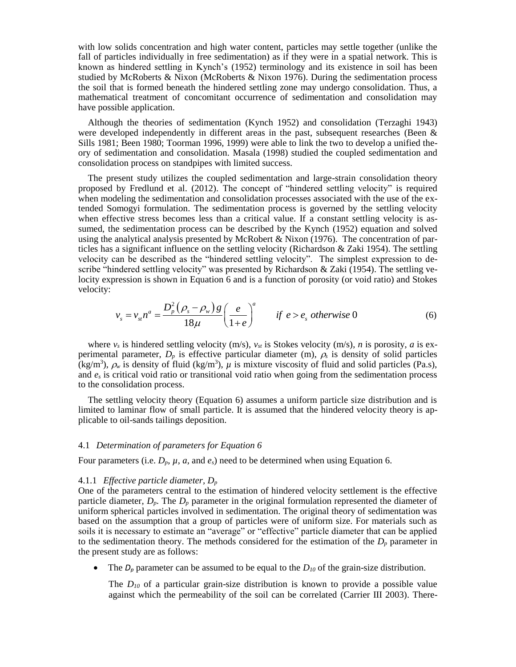with low solids concentration and high water content, particles may settle together (unlike the fall of particles individually in free sedimentation) as if they were in a spatial network. This is known as hindered settling in Kynch's (1952) terminology and its existence in soil has been studied by McRoberts & Nixon (McRoberts & Nixon 1976). During the sedimentation process the soil that is formed beneath the hindered settling zone may undergo consolidation. Thus, a mathematical treatment of concomitant occurrence of sedimentation and consolidation may have possible application.

Although the theories of sedimentation (Kynch 1952) and consolidation (Terzaghi 1943) were developed independently in different areas in the past, subsequent researches (Been & Sills 1981; Been 1980; Toorman 1996, 1999) were able to link the two to develop a unified theory of sedimentation and consolidation. Masala (1998) studied the coupled sedimentation and consolidation process on standpipes with limited success.

The present study utilizes the coupled sedimentation and large-strain consolidation theory proposed by Fredlund et al. (2012). The concept of "hindered settling velocity" is required when modeling the sedimentation and consolidation processes associated with the use of the extended Somogyi formulation. The sedimentation process is governed by the settling velocity when effective stress becomes less than a critical value. If a constant settling velocity is assumed, the sedimentation process can be described by the Kynch (1952) equation and solved using the analytical analysis presented by McRobert & Nixon (1976). The concentration of particles has a significant influence on the settling velocity (Richardson & Zaki 1954). The settling velocity can be described as the "hindered settling velocity". The simplest expression to describe "hindered settling velocity" was presented by Richardson & Zaki (1954). The settling velocity expression is shown in Equation 6 and is a function of porosity (or void ratio) and Stokes velocity:<br>  $v_s = v_{\sigma} n^a = \frac{D_p^2 (\rho_s - \rho_w) g}{\rho_s} \left(\frac{e}{\rho_s - e}\right)^a$  *if*  $e > e_s$  *otherwise* 0 (6) velocity:

$$
v_s = v_{st} n^a = \frac{D_p^2 (\rho_s - \rho_w) g}{18 \mu} \left(\frac{e}{1+e}\right)^a \qquad \text{if } e > e_s \text{ otherwise } 0 \tag{6}
$$

where  $v_s$  is hindered settling velocity (m/s),  $v_{st}$  is Stokes velocity (m/s), *n* is porosity, *a* is experimental parameter,  $D_p$  is effective particular diameter (m),  $\rho_s$  is density of solid particles  $(kg/m<sup>3</sup>)$ ,  $\rho_w$  is density of fluid (kg/m<sup>3</sup>),  $\mu$  is mixture viscosity of fluid and solid particles (Pa.s), and *e<sup>s</sup>* is critical void ratio or transitional void ratio when going from the sedimentation process to the consolidation process.

The settling velocity theory (Equation 6) assumes a uniform particle size distribution and is limited to laminar flow of small particle. It is assumed that the hindered velocity theory is applicable to oil-sands tailings deposition.

## 4.1 *Determination of parameters for Equation 6*

Four parameters (i.e.  $D_p$ ,  $\mu$ ,  $a$ , and  $e_s$ ) need to be determined when using Equation 6.

#### 4.1.1 *Effective particle diameter, D<sup>p</sup>*

One of the parameters central to the estimation of hindered velocity settlement is the effective particle diameter,  $D_p$ . The  $D_p$  parameter in the original formulation represented the diameter of uniform spherical particles involved in sedimentation. The original theory of sedimentation was based on the assumption that a group of particles were of uniform size. For materials such as soils it is necessary to estimate an "average" or "effective" particle diameter that can be applied to the sedimentation theory. The methods considered for the estimation of the  $D_p$  parameter in the present study are as follows:

The  $D_p$  parameter can be assumed to be equal to the  $D_{10}$  of the grain-size distribution.

The *D<sup>10</sup>* of a particular grain-size distribution is known to provide a possible value against which the permeability of the soil can be correlated (Carrier III 2003). There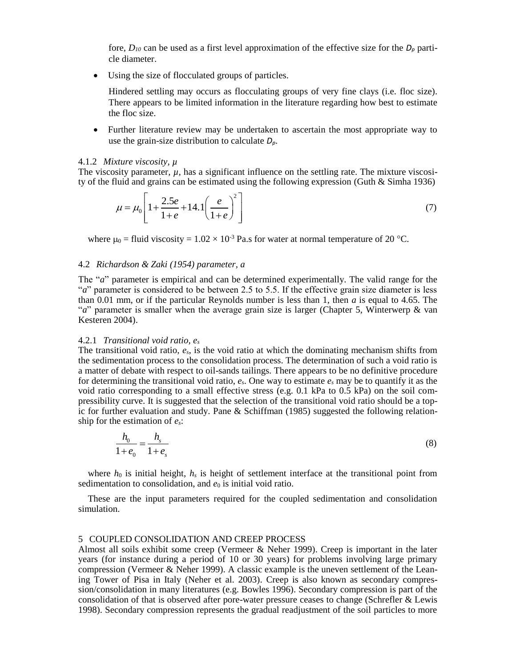fore,  $D_{10}$  can be used as a first level approximation of the effective size for the  $D_p$  particle diameter.

Using the size of flocculated groups of particles.

Hindered settling may occurs as flocculating groups of very fine clays (i.e. floc size). There appears to be limited information in the literature regarding how best to estimate the floc size.

 Further literature review may be undertaken to ascertain the most appropriate way to use the grain-size distribution to calculate *Dp*.

#### 4.1.2 *Mixture viscosity, µ*

The viscosity parameter,  $\mu$ , has a significant influence on the settling rate. The mixture viscosity of the fluid and grains can be estimated using the following expression (Guth & Simha 1936)

$$
\mu = \mu_0 \left[ 1 + \frac{2.5e}{1+e} + 14.1 \left( \frac{e}{1+e} \right)^2 \right]
$$
(7)

where  $\mu_0$  = fluid viscosity = 1.02 × 10<sup>-3</sup> Pa.s for water at normal temperature of 20 °C.

#### 4.2 *Richardson & Zaki (1954) parameter, a*

The "*a*" parameter is empirical and can be determined experimentally. The valid range for the "*a*" parameter is considered to be between 2.5 to 5.5. If the effective grain size diameter is less than 0.01 mm, or if the particular Reynolds number is less than 1, then *a* is equal to 4.65. The "*a*" parameter is smaller when the average grain size is larger (Chapter 5, Winterwerp & van Kesteren 2004).

#### 4.2.1 *Transitional void ratio, e<sup>s</sup>*

The transitional void ratio, *es*, is the void ratio at which the dominating mechanism shifts from the sedimentation process to the consolidation process. The determination of such a void ratio is a matter of debate with respect to oil-sands tailings. There appears to be no definitive procedure for determining the transitional void ratio,  $e_s$ . One way to estimate  $e_s$  may be to quantify it as the void ratio corresponding to a small effective stress (e.g. 0.1 kPa to 0.5 kPa) on the soil compressibility curve. It is suggested that the selection of the transitional void ratio should be a topic for further evaluation and study. Pane  $\&$  Schiffman (1985) suggested the following relationship for the estimation of *es*:

$$
\frac{h_0}{1 + e_0} = \frac{h_s}{1 + e_s} \tag{8}
$$

where  $h_0$  is initial height,  $h_s$  is height of settlement interface at the transitional point from sedimentation to consolidation, and  $e_0$  is initial void ratio.

These are the input parameters required for the coupled sedimentation and consolidation simulation.

## 5 COUPLED CONSOLIDATION AND CREEP PROCESS

Almost all soils exhibit some creep (Vermeer & Neher 1999). Creep is important in the later years (for instance during a period of 10 or 30 years) for problems involving large primary compression (Vermeer & Neher 1999). A classic example is the uneven settlement of the Leaning Tower of Pisa in Italy (Neher et al. 2003). Creep is also known as secondary compression/consolidation in many literatures (e.g. Bowles 1996). Secondary compression is part of the consolidation of that is observed after pore-water pressure ceases to change (Schrefler & Lewis 1998). Secondary compression represents the gradual readjustment of the soil particles to more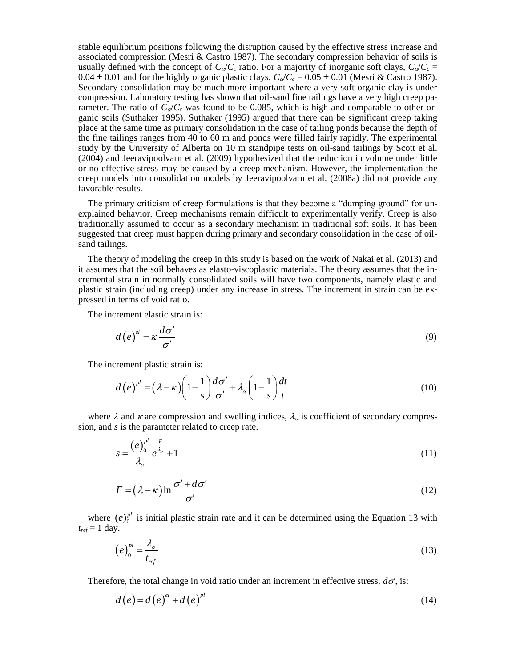stable equilibrium positions following the disruption caused by the effective stress increase and associated compression (Mesri & Castro 1987). The secondary compression behavior of soils is usually defined with the concept of  $C_{\alpha}/C_c$  ratio. For a majority of inorganic soft clays,  $C_{\alpha}/C_c$  =  $0.04 \pm 0.01$  and for the highly organic plastic clays,  $C_{\alpha}/C_c = 0.05 \pm 0.01$  (Mesri & Castro 1987). Secondary consolidation may be much more important where a very soft organic clay is under compression. Laboratory testing has shown that oil-sand fine tailings have a very high creep parameter. The ratio of  $C_p/C_c$  was found to be 0.085, which is high and comparable to other organic soils (Suthaker 1995). Suthaker (1995) argued that there can be significant creep taking place at the same time as primary consolidation in the case of tailing ponds because the depth of the fine tailings ranges from 40 to 60 m and ponds were filled fairly rapidly. The experimental study by the University of Alberta on 10 m standpipe tests on oil-sand tailings by Scott et al. (2004) and Jeeravipoolvarn et al. (2009) hypothesized that the reduction in volume under little or no effective stress may be caused by a creep mechanism. However, the implementation the creep models into consolidation models by Jeeravipoolvarn et al. (2008a) did not provide any favorable results.

The primary criticism of creep formulations is that they become a "dumping ground" for unexplained behavior. Creep mechanisms remain difficult to experimentally verify. Creep is also traditionally assumed to occur as a secondary mechanism in traditional soft soils. It has been suggested that creep must happen during primary and secondary consolidation in the case of oilsand tailings.

The theory of modeling the creep in this study is based on the work of Nakai et al. (2013) and it assumes that the soil behaves as elasto-viscoplastic materials. The theory assumes that the incremental strain in normally consolidated soils will have two components, namely elastic and plastic strain (including creep) under any increase in stress. The increment in strain can be expressed in terms of void ratio.

The increment elastic strain is:

$$
d\left(e\right)^{el} = \kappa \frac{d\sigma'}{\sigma'}\tag{9}
$$

The increment plastic strain is:  
\n
$$
d(e)^{pl} = (\lambda - \kappa) \left( 1 - \frac{1}{s} \right) \frac{d\sigma'}{\sigma'} + \lambda_{\alpha} \left( 1 - \frac{1}{s} \right) \frac{dt}{t}
$$
\n(10)

where  $\lambda$  and  $\kappa$  are compression and swelling indices,  $\lambda_{\alpha}$  is coefficient of secondary compression, and *s* is the parameter related to creep rate.

$$
s = \frac{\left(e\right)_0^{pl}}{\lambda_\alpha} e^{\frac{F}{\lambda_\alpha}} + 1\tag{11}
$$

$$
F = (\lambda - \kappa) \ln \frac{\sigma' + d\sigma'}{\sigma'}
$$
 (12)

where  $(e)_{0}^{pl}$  is initial plastic strain rate and it can be determined using the Equation 13 with  $t_{ref} = 1$  day.

$$
\left(e\right)_0^{pl} = \frac{\lambda_a}{t_{ref}}\tag{13}
$$

Therefore, the total change in void ratio under an increment in effective stress,  $d\sigma'$ , is:

$$
d\left(e\right) = d\left(e\right)^{el} + d\left(e\right)^{pl} \tag{14}
$$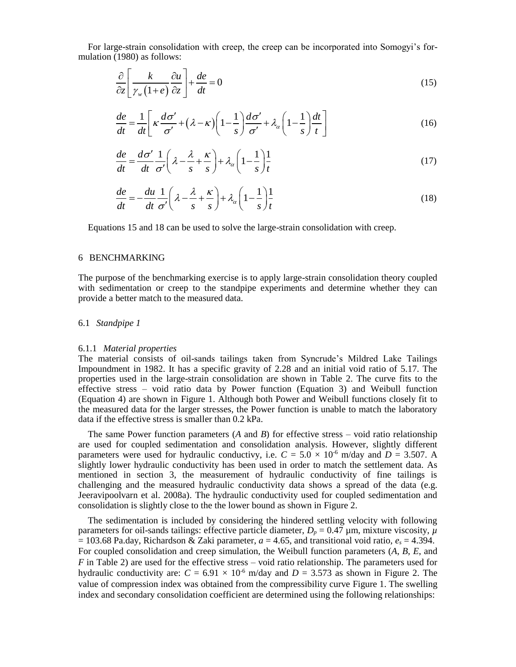For large-strain consolidation with creep, the creep can be incorporated into Somogyi's formulation (1980) as follows:

$$
\frac{\partial}{\partial z} \left[ \frac{k}{\gamma_w (1+e)} \frac{\partial u}{\partial z} \right] + \frac{de}{dt} = 0 \tag{15}
$$

$$
\frac{d e}{d t} = \frac{1}{d t} \left[ \kappa \frac{d \sigma'}{\sigma'} + (\lambda - \kappa) \left( 1 - \frac{1}{s} \right) \frac{d \sigma'}{\sigma'} + \lambda_{\alpha} \left( 1 - \frac{1}{s} \right) \frac{d t}{t} \right]
$$
(16)

$$
\frac{de}{dt} = \frac{d\sigma'}{dt} \frac{1}{\sigma'} \left( \lambda - \frac{\lambda}{s} + \frac{\kappa}{s} \right) + \lambda_{\alpha} \left( 1 - \frac{1}{s} \right) \frac{1}{t}
$$
(17)

$$
\frac{de}{dt} = -\frac{du}{dt}\frac{1}{\sigma'}\left(\lambda - \frac{\lambda}{s} + \frac{\kappa}{s}\right) + \lambda_{\alpha}\left(1 - \frac{1}{s}\right)\frac{1}{t}
$$
\n(18)

Equations 15 and 18 can be used to solve the large-strain consolidation with creep.

#### 6 BENCHMARKING

The purpose of the benchmarking exercise is to apply large-strain consolidation theory coupled with sedimentation or creep to the standpipe experiments and determine whether they can provide a better match to the measured data.

### 6.1 *Standpipe 1*

#### 6.1.1 *Material properties*

The material consists of oil-sands tailings taken from Syncrude's Mildred Lake Tailings Impoundment in 1982. It has a specific gravity of 2.28 and an initial void ratio of 5.17. The properties used in the large-strain consolidation are shown in [Table 2.](#page-7-0) The curve fits to the effective stress – void ratio data by Power function (Equation 3) and Weibull function (Equation 4) are shown in [Figure 1.](#page-7-1) Although both Power and Weibull functions closely fit to the measured data for the larger stresses, the Power function is unable to match the laboratory data if the effective stress is smaller than 0.2 kPa.

The same Power function parameters (*A* and *B*) for effective stress – void ratio relationship are used for coupled sedimentation and consolidation analysis. However, slightly different parameters were used for hydraulic conductivy, i.e.  $C = 5.0 \times 10^{-6}$  m/day and  $D = 3.507$ . A slightly lower hydraulic conductivity has been used in order to match the settlement data. As mentioned in section [3,](#page-2-0) the measurement of hydraulic conductivity of fine tailings is challenging and the measured hydraulic conductivity data shows a spread of the data (e.g. Jeeravipoolvarn et al. 2008a). The hydraulic conductivity used for coupled sedimentation and consolidation is slightly close to the the lower bound as shown in [Figure 2.](#page-8-0)

The sedimentation is included by considering the hindered settling velocity with following parameters for oil-sands tailings: effective particle diameter,  $D_p = 0.47 \mu m$ , mixture viscosity,  $\mu$  $= 103.68$  Pa.day, Richardson & Zaki parameter,  $a = 4.65$ , and transitional void ratio,  $e_s = 4.394$ . For coupled consolidation and creep simulation, the Weibull function parameters (*A*, *B*, *E*, and *F* in [Table 2\)](#page-7-0) are used for the effective stress – void ratio relationship. The parameters used for hydraulic conductivity are:  $C = 6.91 \times 10^{-6}$  m/day and  $D = 3.573$  as shown in [Figure 2.](#page-8-0) The value of compression index was obtained from the compressibility curve [Figure 1.](#page-7-1) The swelling index and secondary consolidation coefficient are determined using the following relationships: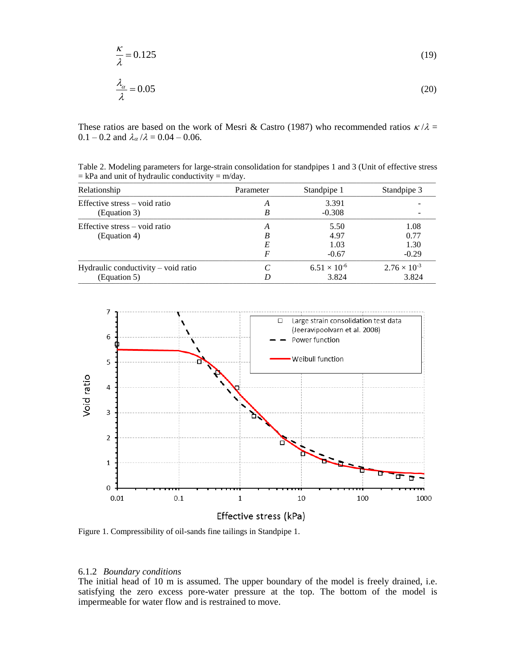$$
\frac{\kappa}{\lambda} = 0.125\tag{19}
$$

$$
\frac{\lambda_{\alpha}}{\lambda} = 0.05\tag{20}
$$

These ratios are based on the work of Mesri & Castro (1987) who recommended ratios  $\kappa/\lambda$  =  $0.1 - 0.2$  and  $\lambda_{\alpha}/\lambda = 0.04 - 0.06$ .

<span id="page-7-0"></span>Table 2. Modeling parameters for large-strain consolidation for standpipes 1 and 3 (Unit of effective stress  $=$  kPa and unit of hydraulic conductivity  $=$  m/day.

| Relationship                        | Parameter | Standpipe 1           | Standpipe 3           |
|-------------------------------------|-----------|-----------------------|-----------------------|
| Effective stress – void ratio       | A         | 3.391                 |                       |
| (Equation 3)                        | B         | $-0.308$              |                       |
| Effective stress – void ratio       | A         | 5.50                  | 1.08                  |
| (Equation 4)                        | B         | 4.97                  | 0.77                  |
|                                     | E         | 1.03                  | 1.30                  |
|                                     | F         | $-0.67$               | $-0.29$               |
| Hydraulic conductivity – void ratio |           | $6.51 \times 10^{-6}$ | $2.76 \times 10^{-3}$ |
| (Equation 5)                        |           | 3.824                 | 3.824                 |



<span id="page-7-1"></span>Figure 1. Compressibility of oil-sands fine tailings in Standpipe 1.

### 6.1.2 *Boundary conditions*

The initial head of 10 m is assumed. The upper boundary of the model is freely drained, i.e. satisfying the zero excess pore-water pressure at the top. The bottom of the model is impermeable for water flow and is restrained to move.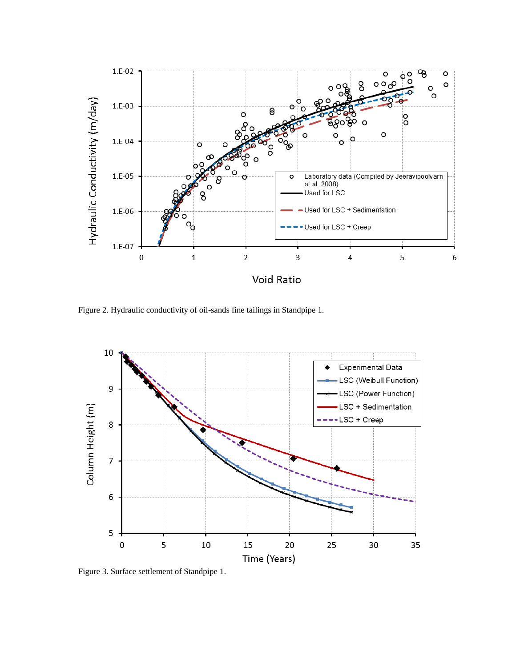

<span id="page-8-0"></span>Figure 2. Hydraulic conductivity of oil-sands fine tailings in Standpipe 1.



<span id="page-8-1"></span>Figure 3. Surface settlement of Standpipe 1.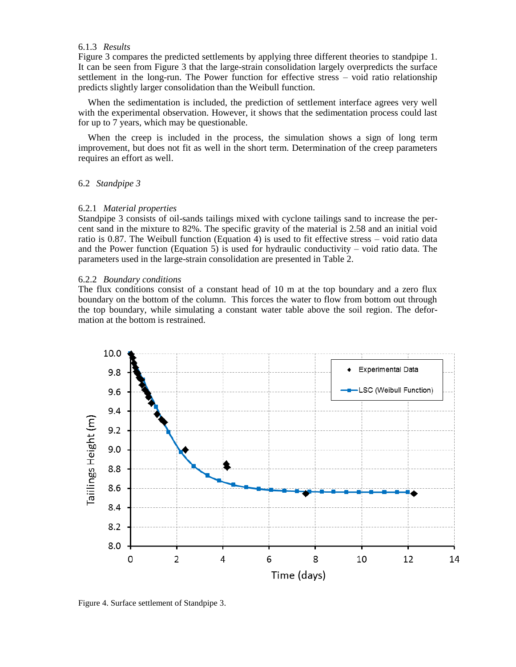## 6.1.3 *Results*

[Figure 3](#page-8-1) compares the predicted settlements by applying three different theories to standpipe 1. It can be seen from [Figure 3](#page-8-1) that the large-strain consolidation largely overpredicts the surface settlement in the long-run. The Power function for effective stress – void ratio relationship predicts slightly larger consolidation than the Weibull function.

When the sedimentation is included, the prediction of settlement interface agrees very well with the experimental observation. However, it shows that the sedimentation process could last for up to 7 years, which may be questionable.

When the creep is included in the process, the simulation shows a sign of long term improvement, but does not fit as well in the short term. Determination of the creep parameters requires an effort as well.

#### 6.2 *Standpipe 3*

#### 6.2.1 *Material properties*

Standpipe 3 consists of oil-sands tailings mixed with cyclone tailings sand to increase the percent sand in the mixture to 82%. The specific gravity of the material is 2.58 and an initial void ratio is 0.87. The Weibull function (Equation 4) is used to fit effective stress – void ratio data and the Power function (Equation 5) is used for hydraulic conductivity – void ratio data. The parameters used in the large-strain consolidation are presented in [Table 2.](#page-7-0)

#### 6.2.2 *Boundary conditions*

The flux conditions consist of a constant head of 10 m at the top boundary and a zero flux boundary on the bottom of the column. This forces the water to flow from bottom out through the top boundary, while simulating a constant water table above the soil region. The deformation at the bottom is restrained.



<span id="page-9-0"></span>Figure 4. Surface settlement of Standpipe 3.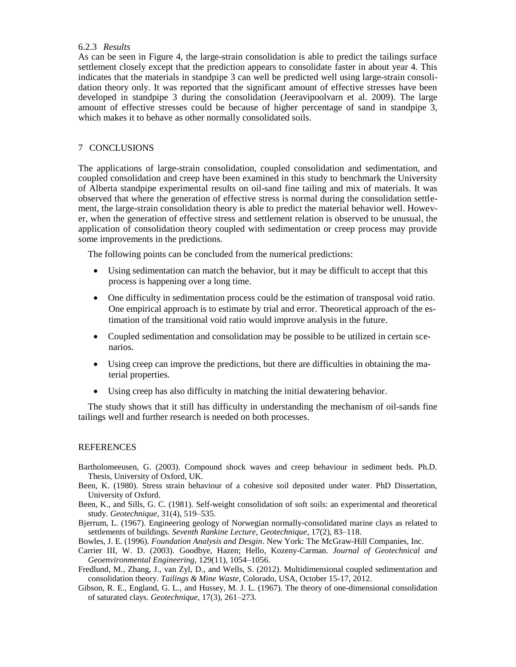## 6.2.3 *Results*

As can be seen in [Figure 4,](#page-9-0) the large-strain consolidation is able to predict the tailings surface settlement closely except that the prediction appears to consolidate faster in about year 4. This indicates that the materials in standpipe 3 can well be predicted well using large-strain consolidation theory only. It was reported that the significant amount of effective stresses have been developed in standpipe 3 during the consolidation (Jeeravipoolvarn et al. 2009). The large amount of effective stresses could be because of higher percentage of sand in standpipe 3, which makes it to behave as other normally consolidated soils.

## 7 CONCLUSIONS

The applications of large-strain consolidation, coupled consolidation and sedimentation, and coupled consolidation and creep have been examined in this study to benchmark the University of Alberta standpipe experimental results on oil-sand fine tailing and mix of materials. It was observed that where the generation of effective stress is normal during the consolidation settlement, the large-strain consolidation theory is able to predict the material behavior well. However, when the generation of effective stress and settlement relation is observed to be unusual, the application of consolidation theory coupled with sedimentation or creep process may provide some improvements in the predictions.

The following points can be concluded from the numerical predictions:

- Using sedimentation can match the behavior, but it may be difficult to accept that this process is happening over a long time.
- One difficulty in sedimentation process could be the estimation of transposal void ratio. One empirical approach is to estimate by trial and error. Theoretical approach of the estimation of the transitional void ratio would improve analysis in the future.
- Coupled sedimentation and consolidation may be possible to be utilized in certain scenarios.
- Using creep can improve the predictions, but there are difficulties in obtaining the material properties.
- Using creep has also difficulty in matching the initial dewatering behavior.

The study shows that it still has difficulty in understanding the mechanism of oil-sands fine tailings well and further research is needed on both processes.

## REFERENCES

- Bartholomeeusen, G. (2003). Compound shock waves and creep behaviour in sediment beds. Ph.D. Thesis, University of Oxford, UK.
- Been, K. (1980). Stress strain behaviour of a cohesive soil deposited under water. PhD Dissertation, University of Oxford.
- Been, K., and Sills, G. C. (1981). Self-weight consolidation of soft soils: an experimental and theoretical study. *Geotechnique*, 31(4), 519–535.
- Bjerrum, L. (1967). Engineering geology of Norwegian normally-consolidated marine clays as related to settlements of buildings. *Seventh Rankine Lecture, Geotechnique*, 17(2), 83–118.
- Bowles, J. E. (1996). *Foundation Analysis and Desgin*. New York: The McGraw-Hill Companies, Inc.
- Carrier III, W. D. (2003). Goodbye, Hazen; Hello, Kozeny-Carman. *Journal of Geotechnical and Geoenvironmental Engineering*, 129(11), 1054–1056.
- Fredlund, M., Zhang, J., van Zyl, D., and Wells, S. (2012). Multidimensional coupled sedimentation and consolidation theory. *Tailings & Mine Waste*, Colorado, USA, October 15-17, 2012.
- Gibson, R. E., England, G. L., and Hussey, M. J. L. (1967). The theory of one-dimensional consolidation of saturated clays. *Geotechnique*, 17(3), 261–273.